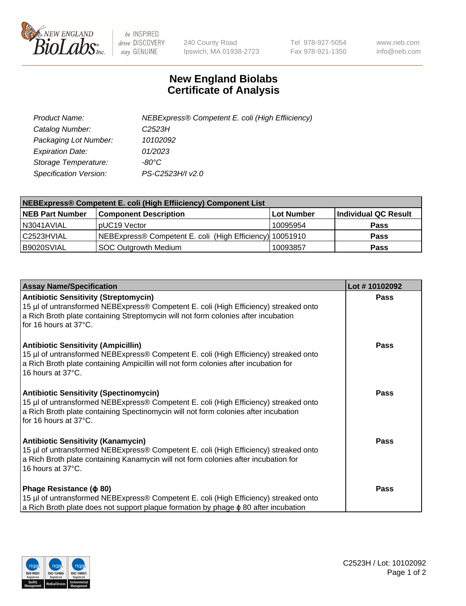

 $be$  INSPIRED drive DISCOVERY stay GENUINE

240 County Road Ipswich, MA 01938-2723 Tel 978-927-5054 Fax 978-921-1350 www.neb.com info@neb.com

## **New England Biolabs Certificate of Analysis**

| Product Name:           | NEBExpress® Competent E. coli (High Effiiciency) |
|-------------------------|--------------------------------------------------|
| Catalog Number:         | C2523H                                           |
| Packaging Lot Number:   | 10102092                                         |
| <b>Expiration Date:</b> | 01/2023                                          |
| Storage Temperature:    | -80°C                                            |
| Specification Version:  | PS-C2523H/I v2.0                                 |

| NEBExpress® Competent E. coli (High Effiiciency) Component List |                                                          |            |                      |  |
|-----------------------------------------------------------------|----------------------------------------------------------|------------|----------------------|--|
| <b>NEB Part Number</b>                                          | <b>Component Description</b>                             | Lot Number | Individual QC Result |  |
| N3041AVIAL                                                      | pUC19 Vector                                             | 10095954   | <b>Pass</b>          |  |
| l C2523HVIAL                                                    | NEBExpress® Competent E. coli (High Efficiency) 10051910 |            | <b>Pass</b>          |  |
| B9020SVIAL                                                      | <b>SOC Outgrowth Medium</b>                              | 10093857   | <b>Pass</b>          |  |

| <b>Assay Name/Specification</b>                                                                                                                                                                                                                       | Lot #10102092 |
|-------------------------------------------------------------------------------------------------------------------------------------------------------------------------------------------------------------------------------------------------------|---------------|
| <b>Antibiotic Sensitivity (Streptomycin)</b><br>15 µl of untransformed NEBExpress® Competent E. coli (High Efficiency) streaked onto<br>a Rich Broth plate containing Streptomycin will not form colonies after incubation<br>for 16 hours at 37°C.   | <b>Pass</b>   |
| <b>Antibiotic Sensitivity (Ampicillin)</b><br>15 µl of untransformed NEBExpress® Competent E. coli (High Efficiency) streaked onto<br>a Rich Broth plate containing Ampicillin will not form colonies after incubation for<br>16 hours at 37°C.       | Pass          |
| <b>Antibiotic Sensitivity (Spectinomycin)</b><br>15 µl of untransformed NEBExpress® Competent E. coli (High Efficiency) streaked onto<br>a Rich Broth plate containing Spectinomycin will not form colonies after incubation<br>for 16 hours at 37°C. | Pass          |
| <b>Antibiotic Sensitivity (Kanamycin)</b><br>15 µl of untransformed NEBExpress® Competent E. coli (High Efficiency) streaked onto<br>a Rich Broth plate containing Kanamycin will not form colonies after incubation for<br>16 hours at 37°C.         | <b>Pass</b>   |
| Phage Resistance ( $\phi$ 80)<br>15 µl of untransformed NEBExpress® Competent E. coli (High Efficiency) streaked onto<br>a Rich Broth plate does not support plaque formation by phage $\phi$ 80 after incubation                                     | Pass          |